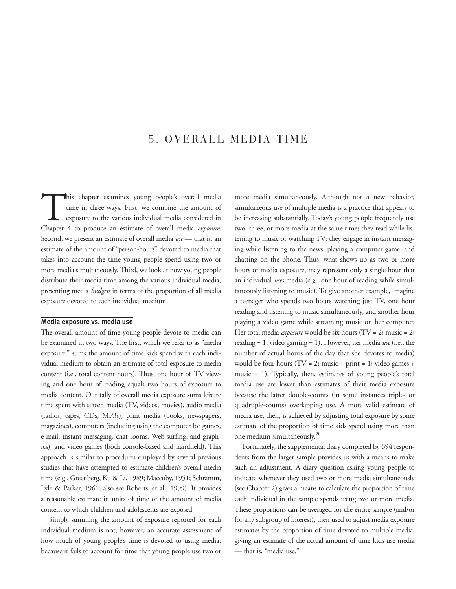# 5. OVERALL MEDIA TIME

This chapter examines young people's overall media time in three ways. First, we combine the amount of exposure to the various individual media considered in Chapter 4 to produce an estimate of overall media *exposure*. Second, we present an estimate of overall media *use* — that is, an estimate of the amount of "person-hours" devoted to media that takes into account the time young people spend using two or more media simultaneously. Third, we look at how young people distribute their media time among the various individual media, presenting media *budgets* in terms of the proportion of all media exposure devoted to each individual medium.

### **Media exposure vs. media use**

The overall amount of time young people devote to media can be examined in two ways. The first, which we refer to as "media exposure," sums the amount of time kids spend with each individual medium to obtain an estimate of total exposure to media content (i.e., total content hours). Thus, one hour of TV viewing and one hour of reading equals two hours of exposure to media content. Our tally of overall media exposure sums leisure time spent with screen media (TV, videos, movies), audio media (radios, tapes, CDs, MP3s), print media (books, newspapers, magazines), computers (including using the computer for games, e-mail, instant messaging, chat rooms, Web-surfing, and graphics), and video games (both console-based and handheld). This approach is similar to procedures employed by several previous studies that have attempted to estimate children's overall media time (e.g., Greenberg, Ku & Li, 1989; Maccoby, 1951; Schramm, Lyle & Parker, 1961; also see Roberts, et al., 1999). It provides a reasonable estimate in units of time of the amount of media content to which children and adolescents are exposed.

Simply summing the amount of exposure reported for each individual medium is not, however, an accurate assessment of how much of young people's time is devoted to using media, because it fails to account for time that young people use two or

more media simultaneously. Although not a new behavior, simultaneous use of multiple media is a practice that appears to be increasing substantially. Today's young people frequently use two, three, or more media at the same time; they read while listening to music or watching TV; they engage in instant messaging while listening to the news, playing a computer game, and chatting on the phone. Thus, what shows up as two or more hours of media exposure, may represent only a single hour that an individual *uses* media (e.g., one hour of reading while simultaneously listening to music). To give another example, imagine a teenager who spends two hours watching just TV, one hour reading and listening to music simultaneously, and another hour playing a video game while streaming music on her computer. Her total media *exposure* would be six hours (TV = 2; music = 2; reading = 1; video gaming = 1). However, her media *use* (i.e., the number of actual hours of the day that she devotes to media) would be four hours (TV = 2; music + print = 1; video games + music = 1). Typically, then, estimates of young people's total media use are lower than estimates of their media exposure because the latter double-counts (in some instances triple- or quadruple-counts) overlapping use. A more valid estimate of media use, then, is achieved by adjusting total exposure by some estimate of the proportion of time kids spend using more than one medium simultaneously.20

Fortunately, the supplemental diary completed by 694 respondents from the larger sample provides us with a means to make such an adjustment. A diary question asking young people to indicate whenever they used two or more media simultaneously (see Chapter 2) gives a means to calculate the proportion of time each individual in the sample spends using two or more media. These proportions can be averaged for the entire sample (and/or for any subgroup of interest), then used to adjust media exposure estimates by the proportion of time devoted to multiple media, giving an estimate of the actual amount of time kids use media — that is, "media use."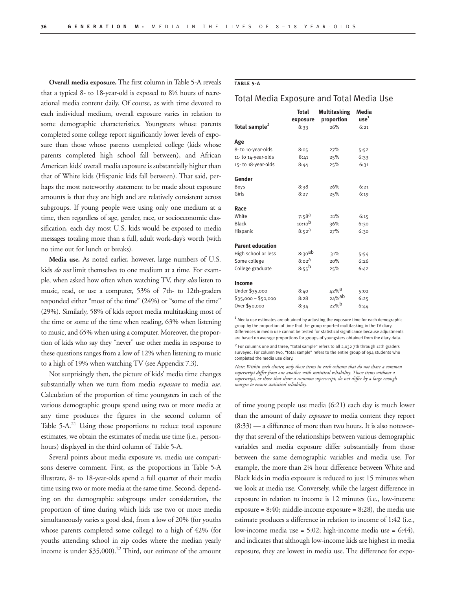**Overall media exposure.** The first column in Table 5-A reveals that a typical 8- to 18-year-old is exposed to 8½ hours of recreational media content daily. Of course, as with time devoted to each individual medium, overall exposure varies in relation to some demographic characteristics. Youngsters whose parents completed some college report significantly lower levels of exposure than those whose parents completed college (kids whose parents completed high school fall between), and African American kids' overall media exposure is substantially higher than that of White kids (Hispanic kids fall between). That said, perhaps the most noteworthy statement to be made about exposure amounts is that they are high and are relatively consistent across subgroups. If young people were using only one medium at a time, then regardless of age, gender, race, or socioeconomic classification, each day most U.S. kids would be exposed to media messages totaling more than a full, adult work-day's worth (with no time out for lunch or breaks).

**Media use.** As noted earlier, however, large numbers of U.S. kids *do not* limit themselves to one medium at a time. For example, when asked how often when watching TV, they *also* listen to music, read, or use a computer, 53% of 7th- to 12th-graders responded either "most of the time" (24%) or "some of the time" (29%). Similarly, 58% of kids report media multitasking most of the time or some of the time when reading, 63% when listening to music, and 65% when using a computer. Moreover, the proportion of kids who say they "never" use other media in response to these questions ranges from a low of 12% when listening to music to a high of 19% when watching TV (see Appendix 7.3).

Not surprisingly then, the picture of kids' media time changes substantially when we turn from media *exposure* to media *use*. Calculation of the proportion of time youngsters in each of the various demographic groups spend using two or more media at any time produces the figures in the second column of Table  $5-A$ <sup>21</sup> Using those proportions to reduce total exposure estimates, we obtain the estimates of media use time (i.e., personhours) displayed in the third column of Table 5-A.

Several points about media exposure vs. media use comparisons deserve comment. First, as the proportions in Table 5-A illustrate, 8- to 18-year-olds spend a full quarter of their media time using two or more media at the same time. Second, depending on the demographic subgroups under consideration, the proportion of time during which kids use two or more media simultaneously varies a good deal, from a low of 20% (for youths whose parents completed some college) to a high of 42% (for youths attending school in zip codes where the median yearly income is under  $$35,000$ .<sup>22</sup> Third, our estimate of the amount

## **TABLE 5-A**

## Total Media Exposure and Total Media Use

|                           | <b>Total</b>          | <b>Multitasking</b> | Media            |  |
|---------------------------|-----------------------|---------------------|------------------|--|
|                           | exposure              | proportion          | use <sup>1</sup> |  |
| Total sample <sup>2</sup> | 8:33                  | 26%                 | 6:21             |  |
| Age                       |                       |                     |                  |  |
| 8- to 10-year-olds        | 8:05                  | 27%                 | 5:52             |  |
| 11-to 14-year-olds        | 8:41                  | 25%                 | 6:33             |  |
| 15-to 18-year-olds        | 8:44                  | 25%                 | 6:31             |  |
| Gender                    |                       |                     |                  |  |
| Boys                      | 8:38                  | 26%                 | 6:21             |  |
| Girls                     | 8:27                  | 25%                 | 6:19             |  |
| Race                      |                       |                     |                  |  |
| White                     | $7:58^{\text{a}}$     | 21%                 | 6:15             |  |
| <b>Black</b>              | 10:10 <sup>b</sup>    | 36%                 | 6:30             |  |
| Hispanic                  | $8:52^{\text{a}}$     | 27%                 | 6:30             |  |
| <b>Parent education</b>   |                       |                     |                  |  |
| High school or less       | 8:30 <sup>ab</sup>    | 31%                 | 5:54             |  |
| Some college              | $8:02^{\overline{a}}$ | 20%                 | 6:26             |  |
| College graduate          | $8:55^{b}$            | 25%                 | 6:42             |  |
| Income                    |                       |                     |                  |  |
| Under \$35,000            | 8:40                  | 42% <sup>a</sup>    | 5:02             |  |
| $$35,000 - $50,000$       | 8:28                  | $24%$ ab            | 6:25             |  |
| Over \$50,000             | 8:34                  | 22%                 | 6:44             |  |

 $<sup>1</sup>$  Media use estimates are obtained by adjusting the exposure time for each demographic</sup> group by the proportion of time that the group reported multitasking in the TV diary. Differences in media use cannot be tested for statistical significance because adjustments are based on average proportions for groups of youngsters obtained from the diary data.

<sup>2</sup> For columns one and three, "total sample" refers to all 2,032 7th through 12th graders<br>surveyed. For column two, "total sample" refers to the entire group of 694 students who completed the media use diary.

*Note: Within each cluster, only those items in each column that do not share a common superscript differ from one another with statistical reliability. Those items without a superscript, or those that share a common superscript, do not differ by a large enough margin to ensure statistical reliability.*

of time young people use media (6:21) each day is much lower than the amount of daily *exposure* to media content they report (8:33) — a difference of more than two hours. It is also noteworthy that several of the relationships between various demographic variables and media exposure differ substantially from those between the same demographic variables and media use. For example, the more than 2¼ hour difference between White and Black kids in media exposure is reduced to just 15 minutes when we look at media use. Conversely, while the largest difference in exposure in relation to income is 12 minutes (i.e., low-income exposure  $= 8:40$ ; middle-income exposure  $= 8:28$ ), the media use estimate produces a difference in relation to income of 1:42 (i.e., low-income media use = 5:02; high-income media use = 6:44), and indicates that although low-income kids are highest in media exposure, they are lowest in media use. The difference for expo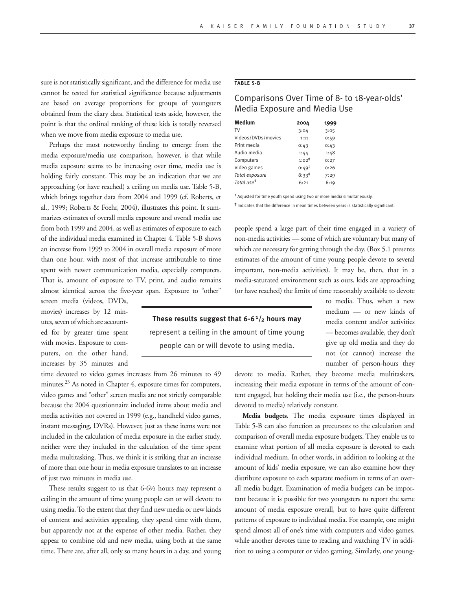sure is not statistically significant, and the difference for media use cannot be tested for statistical significance because adjustments are based on average proportions for groups of youngsters obtained from the diary data. Statistical tests aside, however, the point is that the ordinal ranking of these kids is totally reversed when we move from media exposure to media use.

Perhaps the most noteworthy finding to emerge from the media exposure/media use comparison, however, is that while media exposure seems to be increasing over time, media use is holding fairly constant. This may be an indication that we are approaching (or have reached) a ceiling on media use. Table 5-B, which brings together data from 2004 and 1999 (cf. Roberts, et al., 1999; Roberts & Foehr, 2004), illustrates this point. It summarizes estimates of overall media exposure and overall media use from both 1999 and 2004, as well as estimates of exposure to each of the individual media examined in Chapter 4. Table 5-B shows an increase from 1999 to 2004 in overall media exposure of more than one hour, with most of that increase attributable to time spent with newer communication media, especially computers. That is, amount of exposure to TV, print, and audio remains almost identical across the five-year span. Exposure to "other"

screen media (videos, DVDs, movies) increases by 12 minutes, seven of which are accounted for by greater time spent with movies. Exposure to computers, on the other hand, increases by 35 minutes and

time devoted to video games increases from 26 minutes to 49 minutes.<sup>23</sup> As noted in Chapter 4, exposure times for computers, video games and "other" screen media are not strictly comparable because the 2004 questionnaire included items about media and media activities not covered in 1999 (e.g., handheld video games, instant messaging, DVRs). However, just as these items were not included in the calculation of media exposure in the earlier study, neither were they included in the calculation of the time spent media multitasking. Thus, we think it is striking that an increase of more than one hour in media exposure translates to an increase of just two minutes in media use.

These results suggest to us that 6-6½ hours may represent a ceiling in the amount of time young people can or will devote to using media. To the extent that they find new media or new kinds of content and activities appealing, they spend time with them, but apparently not at the expense of other media. Rather, they appear to combine old and new media, using both at the same time. There are, after all, only so many hours in a day, and young

## **TABLE 5-B**

# Comparisons Over Time of 8- to 18-year-olds' Media Exposure and Media Use

| <b>Medium</b>          | 2004              | 1999 |
|------------------------|-------------------|------|
| TV                     | 3:04              | 3:05 |
| Videos/DVDs/movies     | 1:11              | 0:59 |
| Print media            | 0:43              | 0:43 |
| Audio media            | 1:44              | 1:48 |
| Computers              | $1:02^{\ddagger}$ | 0:27 |
| Video games            | $0:49^{\ddagger}$ | 0:26 |
| Total exposure         | $8:33^{\ddagger}$ | 7:29 |
| Total use <sup>1</sup> | 6:21              | 6:19 |

1 Adjusted for time youth spend using two or more media simultaneously.

‡ Indicates that the difference in mean times between years is statistically significant.

people spend a large part of their time engaged in a variety of non-media activities — some of which are voluntary but many of which are necessary for getting through the day. (Box 5.1 presents estimates of the amount of time young people devote to several important, non-media activities). It may be, then, that in a media-saturated environment such as ours, kids are approaching (or have reached) the limits of time reasonably available to devote

> to media. Thus, when a new medium — or new kinds of media content and/or activities — becomes available, they don't give up old media and they do not (or cannot) increase the

**These results suggest that 6-61/2 hours may** represent a ceiling in the amount of time young people can or will devote to using media.

> number of person-hours they devote to media. Rather, they become media multitaskers, increasing their media exposure in terms of the amount of content engaged, but holding their media use (i.e., the person-hours devoted to media) relatively constant.

> **Media budgets.** The media exposure times displayed in Table 5-B can also function as precursors to the calculation and comparison of overall media exposure budgets. They enable us to examine what portion of all media exposure is devoted to each individual medium. In other words, in addition to looking at the amount of kids' media exposure, we can also examine how they distribute exposure to each separate medium in terms of an overall media budget. Examination of media budgets can be important because it is possible for two youngsters to report the same amount of media exposure overall, but to have quite different patterns of exposure to individual media. For example, one might spend almost all of one's time with computers and video games, while another devotes time to reading and watching TV in addition to using a computer or video gaming. Similarly, one young-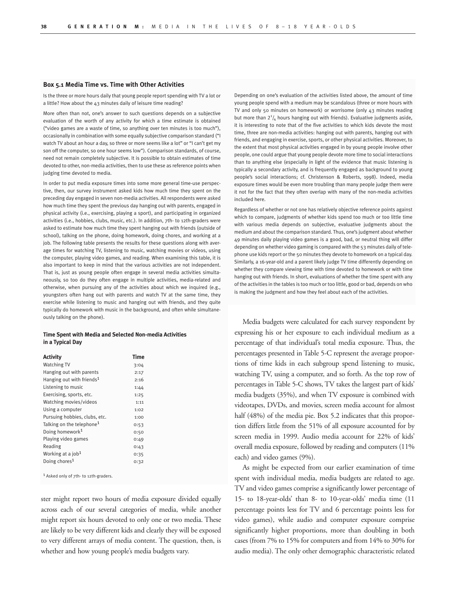#### **Box 5.1 Media Time vs. Time with Other Activities**

Is the three or more hours daily that young people report spending with TV a lot or a little? How about the 43 minutes daily of leisure time reading?

More often than not, one's answer to such questions depends on a subjective evaluation of the worth of any activity for which a time estimate is obtained ("video games are a waste of time, so anything over ten minutes is too much"), occasionally in combination with some equally subjective comparison standard ("I watch TV about an hour a day, so three or more seems like a lot" or "I can't get my son off the computer, so one hour seems low"). Comparison standards, of course, need not remain completely subjective. It is possible to obtain estimates of time devoted to other, non-media activities, then to use these as reference points when judging time devoted to media.

In order to put media exposure times into some more general time-use perspective, then, our survey instrument asked kids how much time they spent on the preceding day engaged in seven non-media activities. All respondents were asked how much time they spent the previous day hanging out with parents, engaged in physical activity (i.e., exercising, playing a sport), and participating in organized activities (i.e., hobbies, clubs, music, etc.). In addition, 7th- to 12th-graders were asked to estimate how much time they spent hanging out with friends (outside of school), talking on the phone, doing homework, doing chores, and working at a job. The following table presents the results for these questions along with average times for watching TV, listening to music, watching movies or videos, using the computer, playing video games, and reading. When examining this table, it is also important to keep in mind that the various activities are not independent. That is, just as young people often engage in several media activities simultaneously, so too do they often engage in multiple activities, media-related and otherwise, when pursuing any of the activities about which we inquired (e.g., youngsters often hang out with parents and watch TV at the same time, they exercise while listening to music and hanging out with friends, and they quite typically do homework with music in the background, and often while simultaneously talking on the phone).

#### **Time Spent with Media and Selected Non-media Activities in a Typical Day**

| <b>Activity</b>                       | <b>Time</b> |
|---------------------------------------|-------------|
| <b>Watching TV</b>                    | 3:04        |
| Hanging out with parents              | 2:17        |
| Hanging out with friends <sup>1</sup> | 2:16        |
| Listening to music                    | 1:44        |
| Exercising, sports, etc.              | 1:25        |
| Watching movies/videos                | 1:11        |
| Using a computer                      | 1:02        |
| Pursuing hobbies, clubs, etc.         | 1:00        |
| Talking on the telephone <sup>1</sup> | 0:53        |
| Doing homework <sup>1</sup>           | 0:50        |
| Playing video games                   | 0:49        |
| Reading                               | 0:43        |
| Working at a job <sup>1</sup>         | 0:35        |
| Doing chores <sup>1</sup>             | 0:32        |

1 Asked only of 7th- to 12th-graders.

ster might report two hours of media exposure divided equally across each of our several categories of media, while another might report six hours devoted to only one or two media. These are likely to be very different kids and clearly they will be exposed to very different arrays of media content. The question, then, is whether and how young people's media budgets vary.

Depending on one's evaluation of the activities listed above, the amount of time young people spend with a medium may be scandalous (three or more hours with TV and only 50 minutes on homework) or worrisome (only 43 minutes reading but more than  $2^{1}/_{4}$  hours hanging out with friends). Evaluative judgments aside, it is interesting to note that of the five activities to which kids devote the most time, three are non-media activities: hanging out with parents, hanging out with friends, and engaging in exercise, sports, or other physical activities. Moreover, to the extent that most physical activities engaged in by young people involve other people, one could argue that young people devote more time to social interactions than to anything else (especially in light of the evidence that music listening is typically a secondary activity, and is frequently engaged as background to young people's social interactions; cf. Christenson & Roberts, 1998). Indeed, media exposure times would be even more troubling than many people judge them were it not for the fact that they often overlap with many of the non-media activities included here.

Regardless of whether or not one has relatively objective reference points against which to compare, judgments of whether kids spend too much or too little time with various media depends on subjective, evaluative judgments about the medium and about the comparison standard. Thus, one's judgment about whether 49 minutes daily playing video games is a good, bad, or neutral thing will differ depending on whether video gaming is compared with the 53 minutes daily of telephone use kids report or the 50 minutes they devote to homework on a typical day. Similarly, a 16-year-old and a parent likely judge TV time differently depending on whether they compare viewing time with time devoted to homework or with time hanging out with friends. In short, evaluations of whether the time spent with any of the activities in the tables is too much or too little, good or bad, depends on who is making the judgment and how they feel about each of the activities.

Media budgets were calculated for each survey respondent by expressing his or her exposure to each individual medium as a percentage of that individual's total media exposure. Thus, the percentages presented in Table 5-C represent the average proportions of time kids in each subgroup spend listening to music, watching TV, using a computer, and so forth. As the top row of percentages in Table 5-C shows, TV takes the largest part of kids' media budgets (35%), and when TV exposure is combined with videotapes, DVDs, and movies, screen media account for almost half (48%) of the media pie. Box 5.2 indicates that this proportion differs little from the 51% of all exposure accounted for by screen media in 1999. Audio media account for 22% of kids' overall media exposure, followed by reading and computers (11% each) and video games (9%).

As might be expected from our earlier examination of time spent with individual media, media budgets are related to age. TV and video games comprise a significantly lower percentage of 15- to 18-year-olds' than 8- to 10-year-olds' media time (11 percentage points less for TV and 6 percentage points less for video games), while audio and computer exposure comprise significantly higher proportions, more than doubling in both cases (from 7% to 15% for computers and from 14% to 30% for audio media). The only other demographic characteristic related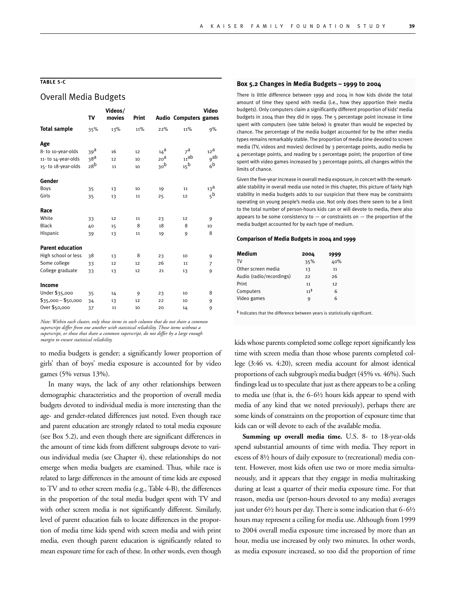## **TABLE 5-C**

## Overall Media Budgets

| Т٧              | Videos/<br>movies                  | Print |                 |                  | <b>Video</b>                               |
|-----------------|------------------------------------|-------|-----------------|------------------|--------------------------------------------|
| 35%             | 13%                                | 11%   | 22%             | 11%              | 9%                                         |
|                 |                                    |       |                 |                  |                                            |
| 39 <sup>a</sup> | 16                                 | 12    | $14^a$          | $7^{\mathrm{a}}$ | 12 <sup>a</sup>                            |
|                 | 12                                 | 10    | 20 <sup>d</sup> |                  | <sub>9</sub> ab                            |
|                 | 11                                 | 10    |                 | 15 <sup>b</sup>  | 6 <sup>b</sup>                             |
|                 |                                    |       |                 |                  |                                            |
| 35              | 13                                 | 10    | 19              | 11               | 13 <sup>d</sup>                            |
| 35              | 13                                 | 11    | 25              | 12               | 5 <sup>b</sup>                             |
|                 |                                    |       |                 |                  |                                            |
| 33              | 12                                 | 11    | 23              | 12               | 9                                          |
| 40              | 15                                 | 8     | 18              | 8                | 10                                         |
| 39              | 13                                 | 11    | 19              | 9                | 8                                          |
|                 |                                    |       |                 |                  |                                            |
| 38              | 13                                 | 8     | 23              | 10               | 9                                          |
| 33              | 12                                 | 12    | 26              | 11               | 7                                          |
| 33              | 13                                 | 12    | 21              | 13               | 9                                          |
|                 |                                    |       |                 |                  |                                            |
| 35              | 14                                 | 9     | 23              | 10               | 8                                          |
| 34              | 13                                 | 12    | 22              | 10               | 9                                          |
| 37              | 11                                 | 10    | 20              | 14               | 9                                          |
|                 | 38 <sup>a</sup><br>28 <sup>b</sup> |       |                 | 30 <sup>b</sup>  | <b>Audio Computers games</b><br>$_{11}$ ab |

*Note: Within each cluster, only those items in each column that do not share a common superscript differ from one another with statistical reliability. Those items without a superscript, or those that share a common superscript, do not differ by a large enough margin to ensure statistical reliability.*

to media budgets is gender; a significantly lower proportion of girls' than of boys' media exposure is accounted for by video games (5% versus 13%).

In many ways, the lack of any other relationships between demographic characteristics and the proportion of overall media budgets devoted to individual media is more interesting than the age- and gender-related differences just noted. Even though race and parent education are strongly related to total media exposure (see Box 5.2), and even though there are significant differences in the amount of time kids from different subgroups devote to various individual media (see Chapter 4), these relationships do not emerge when media budgets are examined. Thus, while race is related to large differences in the amount of time kids are exposed to TV and to other screen media (e.g., Table 4-B), the differences in the proportion of the total media budget spent with TV and with other screen media is not significantly different. Similarly, level of parent education fails to locate differences in the proportion of media time kids spend with screen media and with print media, even though parent education is significantly related to mean exposure time for each of these. In other words, even though

#### **Box 5.2 Changes in Media Budgets – 1999 to 2004**

There is little difference between 1999 and 2004 in how kids divide the total amount of time they spend with media (i.e., how they apportion their media budgets). Only computers claim a significantly different proportion of kids' media budgets in 2004 than they did in 1999. The 5 percentage point increase in time spent with computers (see table below) is greater than would be expected by chance. The percentage of the media budget accounted for by the other media types remains remarkably stable. The proportion of media time devoted to screen media (TV, videos and movies) declined by 3 percentage points, audio media by 4 percentage points, and reading by 1 percentage point; the proportion of time spent with video games increased by 3 percentage points, all changes within the limits of chance.

Given the five-year increase in overall media exposure, in concert with the remarkable stability in overall media use noted in this chapter, this picture of fairly high stability in media budgets adds to our suspicion that there may be constraints operating on young people's media use. Not only does there seem to be a limit to the total number of person-hours kids can or will devote to media, there also appears to be some consistency to  $-$  or constraints on  $-$  the proportion of the media budget accounted for by each type of medium.

#### **Comparison of Media Budgets in 2004 and 1999**

| Medium                   | 2004            | 1999 |
|--------------------------|-----------------|------|
| TV                       | 35%             | 40%  |
| Other screen media       | 13              | 11   |
| Audio (radio/recordings) | 22              | 26   |
| Print                    | 11              | 12   |
| Computers                | $11^{\ddagger}$ | 6    |
| Video games              | 9               | 6    |
|                          |                 |      |

‡ Indicates that the difference between years is statistically significant.

kids whose parents completed some college report significantly less time with screen media than those whose parents completed college (3:46 vs. 4:20), screen media account for almost identical proportions of each subgroup's media budget (45% vs. 46%). Such findings lead us to speculate that just as there appears to be a ceiling to media use (that is, the 6-6½ hours kids appear to spend with media of any kind that we noted previously), perhaps there are some kinds of constraints on the proportion of exposure time that kids can or will devote to each of the available media.

**Summing up overall media time.** U.S. 8- to 18-year-olds spend substantial amounts of time with media. They report in excess of 8½ hours of daily exposure to (recreational) media content. However, most kids often use two or more media simultaneously, and it appears that they engage in media multitasking during at least a quarter of their media exposure time. For that reason, media use (person-hours devoted to any media) averages just under 6½ hours per day. There is some indication that 6-6½ hours may represent a ceiling for media use. Although from 1999 to 2004 overall media exposure time increased by more than an hour, media use increased by only two minutes. In other words, as media exposure increased, so too did the proportion of time